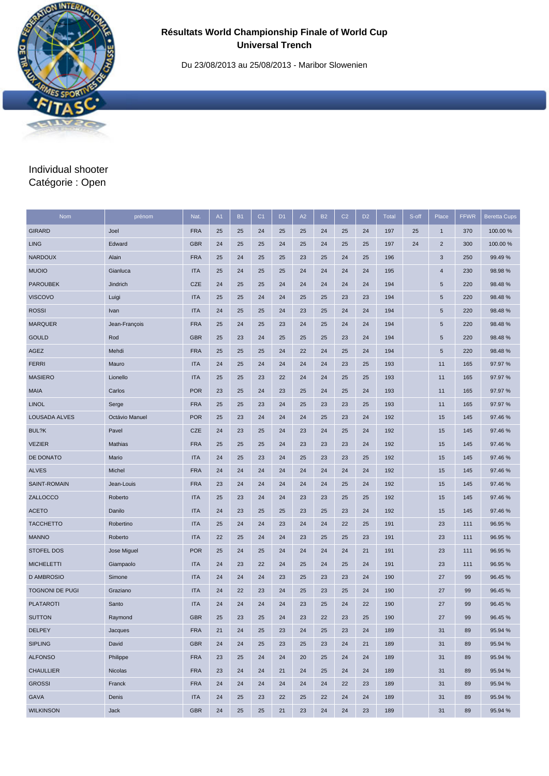Du 23/08/2013 au 25/08/2013 - Maribor Slowenien

# Individual shooter Catégorie : Open

| <b>Nom</b>             | prénom         | Nat.       | A1 | <b>B1</b> | C <sub>1</sub> | D <sub>1</sub> | A2 | <b>B2</b> | C <sub>2</sub> | D <sub>2</sub> | <b>Total</b> | S-off | Place          | <b>FFWR</b> | <b>Beretta Cups</b> |
|------------------------|----------------|------------|----|-----------|----------------|----------------|----|-----------|----------------|----------------|--------------|-------|----------------|-------------|---------------------|
| <b>GIRARD</b>          | Joel           | <b>FRA</b> | 25 | 25        | 24             | 25             | 25 | 24        | 25             | 24             | 197          | 25    | $\mathbf{1}$   | 370         | 100.00 %            |
| <b>LING</b>            | Edward         | <b>GBR</b> | 24 | 25        | 25             | 24             | 25 | 24        | 25             | 25             | 197          | 24    | $\overline{c}$ | 300         | 100.00 %            |
| <b>NARDOUX</b>         | Alain          | <b>FRA</b> | 25 | 24        | 25             | 25             | 23 | 25        | 24             | 25             | 196          |       | 3              | 250         | 99.49%              |
| <b>MUOIO</b>           | Gianluca       | <b>ITA</b> | 25 | 24        | 25             | 25             | 24 | 24        | 24             | 24             | 195          |       | 4              | 230         | 98.98%              |
| <b>PAROUBEK</b>        | Jindrich       | <b>CZE</b> | 24 | 25        | 25             | 24             | 24 | 24        | 24             | 24             | 194          |       | 5              | 220         | 98.48%              |
| <b>VISCOVO</b>         | Luigi          | <b>ITA</b> | 25 | 25        | 24             | 24             | 25 | 25        | 23             | 23             | 194          |       | 5              | 220         | 98.48%              |
| <b>ROSSI</b>           | Ivan           | <b>ITA</b> | 24 | 25        | 25             | 24             | 23 | 25        | 24             | 24             | 194          |       | $\sqrt{5}$     | 220         | 98.48%              |
| <b>MARQUER</b>         | Jean-François  | <b>FRA</b> | 25 | 24        | 25             | 23             | 24 | 25        | 24             | 24             | 194          |       | 5              | 220         | 98.48%              |
| <b>GOULD</b>           | Rod            | <b>GBR</b> | 25 | 23        | 24             | 25             | 25 | 25        | 23             | 24             | 194          |       | 5              | 220         | 98.48%              |
| AGEZ                   | Mehdi          | <b>FRA</b> | 25 | 25        | 25             | 24             | 22 | 24        | 25             | 24             | 194          |       | 5              | 220         | 98.48%              |
| <b>FERRI</b>           | Mauro          | <b>ITA</b> | 24 | 25        | 24             | 24             | 24 | 24        | 23             | 25             | 193          |       | 11             | 165         | 97.97 %             |
| <b>MASIERO</b>         | Lionello       | <b>ITA</b> | 25 | 25        | 23             | 22             | 24 | 24        | 25             | 25             | 193          |       | 11             | 165         | 97.97 %             |
| <b>MAIA</b>            | Carlos         | <b>POR</b> | 23 | 25        | 24             | 23             | 25 | 24        | 25             | 24             | 193          |       | 11             | 165         | 97.97 %             |
| <b>LINOL</b>           | Serge          | <b>FRA</b> | 25 | 25        | 23             | 24             | 25 | 23        | 23             | 25             | 193          |       | 11             | 165         | 97.97 %             |
| LOUSADA ALVES          | Octávio Manuel | <b>POR</b> | 25 | 23        | 24             | 24             | 24 | 25        | 23             | 24             | 192          |       | 15             | 145         | 97.46 %             |
| BUL?K                  | Pavel          | <b>CZE</b> | 24 | 23        | 25             | 24             | 23 | 24        | 25             | 24             | 192          |       | 15             | 145         | 97.46 %             |
| <b>VEZIER</b>          | Mathias        | <b>FRA</b> | 25 | 25        | 25             | 24             | 23 | 23        | 23             | 24             | 192          |       | 15             | 145         | 97.46 %             |
| DE DONATO              | Mario          | <b>ITA</b> | 24 | 25        | 23             | 24             | 25 | 23        | 23             | 25             | 192          |       | 15             | 145         | 97.46%              |
| <b>ALVES</b>           | Michel         | <b>FRA</b> | 24 | 24        | 24             | 24             | 24 | 24        | 24             | 24             | 192          |       | 15             | 145         | 97.46%              |
| SAINT-ROMAIN           | Jean-Louis     | <b>FRA</b> | 23 | 24        | 24             | 24             | 24 | 24        | 25             | 24             | 192          |       | 15             | 145         | 97.46 %             |
| ZALLOCCO               | Roberto        | <b>ITA</b> | 25 | 23        | 24             | 24             | 23 | 23        | 25             | 25             | 192          |       | 15             | 145         | 97.46 %             |
| <b>ACETO</b>           | Danilo         | <b>ITA</b> | 24 | 23        | 25             | 25             | 23 | 25        | 23             | 24             | 192          |       | 15             | 145         | 97.46%              |
| <b>TACCHETTO</b>       | Robertino      | <b>ITA</b> | 25 | 24        | 24             | 23             | 24 | 24        | 22             | 25             | 191          |       | 23             | 111         | 96.95 %             |
| <b>MANNO</b>           | Roberto        | <b>ITA</b> | 22 | 25        | 24             | 24             | 23 | 25        | 25             | 23             | 191          |       | 23             | 111         | 96.95%              |
| <b>STOFEL DOS</b>      | Jose Miguel    | <b>POR</b> | 25 | 24        | 25             | 24             | 24 | 24        | 24             | 21             | 191          |       | 23             | 111         | 96.95 %             |
| <b>MICHELETTI</b>      | Giampaolo      | <b>ITA</b> | 24 | 23        | 22             | 24             | 25 | 24        | 25             | 24             | 191          |       | 23             | 111         | 96.95 %             |
| <b>D AMBROSIO</b>      | Simone         | <b>ITA</b> | 24 | 24        | 24             | 23             | 25 | 23        | 23             | 24             | 190          |       | 27             | 99          | 96.45 %             |
| <b>TOGNONI DE PUGI</b> | Graziano       | <b>ITA</b> | 24 | 22        | 23             | 24             | 25 | 23        | 25             | 24             | 190          |       | 27             | 99          | 96.45 %             |
| <b>PLATAROTI</b>       | Santo          | <b>ITA</b> | 24 | 24        | 24             | 24             | 23 | 25        | 24             | 22             | 190          |       | 27             | 99          | 96.45 %             |
| <b>SUTTON</b>          | Raymond        | <b>GBR</b> | 25 | 23        | 25             | 24             | 23 | 22        | 23             | 25             | 190          |       | 27             | 99          | 96.45%              |
| <b>DELPEY</b>          | Jacques        | <b>FRA</b> | 21 | 24        | 25             | 23             | 24 | 25        | 23             | 24             | 189          |       | 31             | 89          | 95.94 %             |
| <b>SIPLING</b>         | David          | <b>GBR</b> | 24 | 24        | 25             | 23             | 25 | 23        | 24             | 21             | 189          |       | 31             | 89          | 95.94 %             |
| <b>ALFONSO</b>         | Philippe       | <b>FRA</b> | 23 | 25        | 24             | 24             | 20 | 25        | 24             | 24             | 189          |       | 31             | 89          | 95.94 %             |
| <b>CHAULLIER</b>       | Nicolas        | <b>FRA</b> | 23 | 24        | 24             | 21             | 24 | 25        | 24             | 24             | 189          |       | 31             | 89          | 95.94 %             |
| <b>GROSSI</b>          | Franck         | <b>FRA</b> | 24 | 24        | 24             | 24             | 24 | 24        | 22             | 23             | 189          |       | 31             | 89          | 95.94 %             |
| GAVA                   | Denis          | <b>ITA</b> | 24 | 25        | 23             | 22             | 25 | 22        | 24             | 24             | 189          |       | 31             | 89          | 95.94 %             |
| <b>WILKINSON</b>       | Jack           | <b>GBR</b> | 24 | 25        | 25             | 21             | 23 | 24        | 24             | 23             | 189          |       | 31             | 89          | 95.94 %             |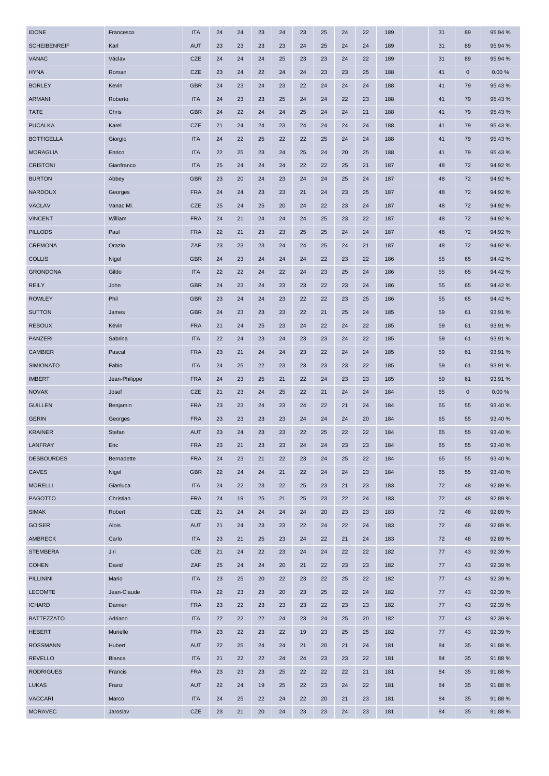| <b>IDONE</b>        | Francesco     | <b>ITA</b> | 24 | 24 | 23 | 24 | 23 | 25 | 24 | 22 | 189 | 31 | 89          | 95.94 % |
|---------------------|---------------|------------|----|----|----|----|----|----|----|----|-----|----|-------------|---------|
| <b>SCHEIBENREIF</b> | Karl          | <b>AUT</b> | 23 | 23 | 23 | 23 | 24 | 25 | 24 | 24 | 189 | 31 | 89          | 95.94 % |
| <b>VANAC</b>        | Václav        | <b>CZE</b> | 24 | 24 | 24 | 25 | 23 | 23 | 24 | 22 | 189 | 31 | 89          | 95.94 % |
| <b>HYNA</b>         | Roman         | <b>CZE</b> | 23 | 24 | 22 | 24 | 24 | 23 | 23 | 25 | 188 | 41 | $\mathbf 0$ | 0.00%   |
| <b>BORLEY</b>       | Kevin         | <b>GBR</b> | 24 | 23 | 24 | 23 | 22 | 24 | 24 | 24 | 188 | 41 | 79          | 95.43%  |
| <b>ARMANI</b>       | Roberto       | <b>ITA</b> | 24 | 23 | 23 | 25 | 24 | 24 | 22 | 23 | 188 | 41 | 79          | 95.43 % |
| <b>TATE</b>         | Chris         | <b>GBR</b> | 24 | 22 | 24 | 24 | 25 | 24 | 24 | 21 | 188 | 41 | 79          | 95.43%  |
| <b>PUCALKA</b>      | Karel         | <b>CZE</b> | 21 | 24 | 24 | 23 | 24 | 24 | 24 | 24 | 188 | 41 | 79          | 95.43%  |
| <b>BOTTIGELLA</b>   | Giorgio       | <b>ITA</b> | 24 | 22 | 25 | 22 | 22 | 25 | 24 | 24 | 188 | 41 | 79          | 95.43%  |
| <b>MORAGLIA</b>     | Enrico        | <b>ITA</b> | 22 | 25 | 23 | 24 | 25 | 24 | 20 | 25 | 188 | 41 | 79          | 95.43%  |
| <b>CRISTONI</b>     | Gianfranco    | <b>ITA</b> | 25 | 24 | 24 | 24 | 22 | 22 | 25 | 21 | 187 | 48 | 72          | 94.92%  |
| <b>BURTON</b>       | Abbey         | <b>GBR</b> | 23 | 20 | 24 | 23 | 24 | 24 | 25 | 24 | 187 | 48 | 72          | 94.92%  |
| <b>NARDOUX</b>      | Georges       | <b>FRA</b> | 24 | 24 | 23 | 23 | 21 | 24 | 23 | 25 | 187 | 48 | 72          | 94.92%  |
| VACLAV              | Vanac MI.     | <b>CZE</b> | 25 | 24 | 25 | 20 | 24 | 22 | 23 | 24 | 187 | 48 | 72          | 94.92%  |
| <b>VINCENT</b>      | William       | <b>FRA</b> | 24 | 21 | 24 | 24 | 24 | 25 | 23 | 22 | 187 | 48 | 72          | 94.92%  |
| <b>PILLODS</b>      | Paul          | <b>FRA</b> | 22 | 21 | 23 | 23 | 25 | 25 | 24 | 24 | 187 | 48 | 72          | 94.92%  |
| <b>CREMONA</b>      | Orazio        | ZAF        | 23 | 23 | 23 | 24 | 24 | 25 | 24 | 21 | 187 | 48 | 72          | 94.92%  |
| <b>COLLIS</b>       | Nigel         | <b>GBR</b> | 24 | 23 | 24 | 24 | 24 | 22 | 23 | 22 | 186 | 55 | 65          | 94.42%  |
| <b>GRONDONA</b>     | Gildo         | <b>ITA</b> | 22 | 22 | 24 | 22 | 24 | 23 | 25 | 24 | 186 | 55 | 65          | 94.42%  |
| <b>REILY</b>        | John          | <b>GBR</b> | 24 | 23 | 24 | 23 | 23 | 22 | 23 | 24 | 186 | 55 | 65          | 94.42%  |
| <b>ROWLEY</b>       | Phil          | <b>GBR</b> | 23 | 24 | 24 | 23 | 22 | 22 | 23 | 25 | 186 | 55 | 65          | 94.42%  |
| <b>SUTTON</b>       | James         | <b>GBR</b> | 24 | 23 | 23 | 23 | 22 | 21 | 25 | 24 | 185 | 59 | 61          | 93.91 % |
| <b>REBOUX</b>       | Kévin         | <b>FRA</b> | 21 | 24 | 25 | 23 | 24 | 22 | 24 | 22 | 185 | 59 | 61          | 93.91 % |
| PANZERI             | Sabrina       | <b>ITA</b> | 22 | 24 | 23 | 24 | 23 | 23 | 24 | 22 | 185 | 59 | 61          | 93.91 % |
| <b>CAMBIER</b>      | Pascal        | <b>FRA</b> | 23 | 21 | 24 | 24 | 23 | 22 | 24 | 24 | 185 | 59 | 61          | 93.91 % |
| <b>SIMIONATO</b>    | Fabio         | <b>ITA</b> | 24 | 25 | 22 | 23 | 23 | 23 | 23 | 22 | 185 | 59 | 61          | 93.91 % |
| <b>IMBERT</b>       | Jean-Philippe | <b>FRA</b> | 24 | 23 | 25 | 21 | 22 | 24 | 23 | 23 | 185 | 59 | 61          | 93.91 % |
| <b>NOVAK</b>        | Josef         | <b>CZE</b> | 21 | 23 | 24 | 25 | 22 | 21 | 24 | 24 | 184 | 65 | $\mathbf 0$ | 0.00%   |
| <b>GUILLEN</b>      | Benjamin      | <b>FRA</b> | 23 | 23 | 24 | 23 | 24 | 22 | 21 | 24 | 184 | 65 | 55          | 93.40 % |
| <b>GERIN</b>        | Georges       | <b>FRA</b> | 23 | 23 | 23 | 23 | 24 | 24 | 24 | 20 | 184 | 65 | 55          | 93.40 % |
| <b>KRAINER</b>      | Stefan        | <b>AUT</b> | 23 | 24 | 23 | 23 | 22 | 25 | 22 | 22 | 184 | 65 | 55          | 93.40 % |
| LANFRAY             | Eric          | <b>FRA</b> | 23 | 21 | 23 | 23 | 24 | 24 | 23 | 23 | 184 | 65 | 55          | 93.40 % |
| <b>DESBOURDES</b>   | Bernadette    | <b>FRA</b> | 24 | 23 | 21 | 22 | 23 | 24 | 25 | 22 | 184 | 65 | 55          | 93.40 % |
| <b>CAVES</b>        | Nigel         | <b>GBR</b> | 22 | 24 | 24 | 21 | 22 | 24 | 24 | 23 | 184 | 65 | 55          | 93.40 % |
| <b>MORELLI</b>      | Gianluca      | <b>ITA</b> | 24 | 22 | 23 | 22 | 25 | 23 | 21 | 23 | 183 | 72 | 48          | 92.89%  |
| <b>PAGOTTO</b>      | Christian     | <b>FRA</b> | 24 | 19 | 25 | 21 | 25 | 23 | 22 | 24 | 183 | 72 | 48          | 92.89%  |
| <b>SIMAK</b>        | Robert        | <b>CZE</b> | 21 | 24 | 24 | 24 | 24 | 20 | 23 | 23 | 183 | 72 | 48          | 92.89%  |
| <b>GOISER</b>       | Alois         | <b>AUT</b> | 21 | 24 | 23 | 23 | 22 | 24 | 22 | 24 | 183 | 72 | 48          | 92.89%  |
| AMBRECK             | Carlo         | <b>ITA</b> | 23 | 21 | 25 | 23 | 24 | 22 | 21 | 24 | 183 | 72 | 48          | 92.89%  |
| <b>STEMBERA</b>     | Jiri          | <b>CZE</b> | 21 | 24 | 22 | 23 | 24 | 24 | 22 | 22 | 182 | 77 | 43          | 92.39 % |
| <b>COHEN</b>        | David         | ZAF        | 25 | 24 | 24 | 20 | 21 | 22 | 23 | 23 | 182 | 77 | 43          | 92.39 % |
| PILLININI           | Mario         | <b>ITA</b> | 23 | 25 | 20 | 22 | 23 | 22 | 25 | 22 | 182 | 77 | 43          | 92.39 % |
| <b>LECOMTE</b>      | Jean-Claude   | <b>FRA</b> | 22 | 23 | 23 | 20 | 23 | 25 | 22 | 24 | 182 | 77 | 43          | 92.39 % |
| <b>ICHARD</b>       | Damien        | <b>FRA</b> | 23 | 22 | 23 | 23 | 23 | 22 | 23 | 23 | 182 | 77 | 43          | 92.39 % |
| <b>BATTEZZATO</b>   | Adriano       | <b>ITA</b> | 22 | 22 | 22 | 24 | 23 | 24 | 25 | 20 | 182 | 77 | 43          | 92.39 % |
| <b>HEBERT</b>       | Murielle      | <b>FRA</b> | 23 | 22 | 23 | 22 | 19 | 23 | 25 | 25 | 182 | 77 | 43          | 92.39 % |
| <b>ROSSMANN</b>     | Hubert        | AUT        | 22 | 25 | 24 | 24 | 21 | 20 | 21 | 24 | 181 | 84 | 35          | 91.88%  |
| <b>REVELLO</b>      | <b>Bianca</b> | <b>ITA</b> | 21 | 22 | 22 | 24 | 24 | 23 | 23 | 22 | 181 | 84 | 35          | 91.88%  |
| <b>RODRIGUES</b>    | Francis       | <b>FRA</b> | 23 | 23 | 23 | 25 | 22 | 22 | 22 | 21 | 181 | 84 | 35          | 91.88%  |
| <b>LUKAS</b>        | Franz         | AUT        | 22 | 24 | 19 | 25 | 22 | 23 | 24 | 22 | 181 | 84 | 35          | 91.88%  |
| <b>VACCARI</b>      | Marco         | <b>ITA</b> | 24 | 25 | 22 | 24 | 22 | 20 | 21 | 23 | 181 | 84 | 35          | 91.88%  |
| <b>MORAVEC</b>      | Jaroslav      | <b>CZE</b> | 23 | 21 | 20 | 24 | 23 | 23 | 24 | 23 | 181 | 84 | 35          | 91.88%  |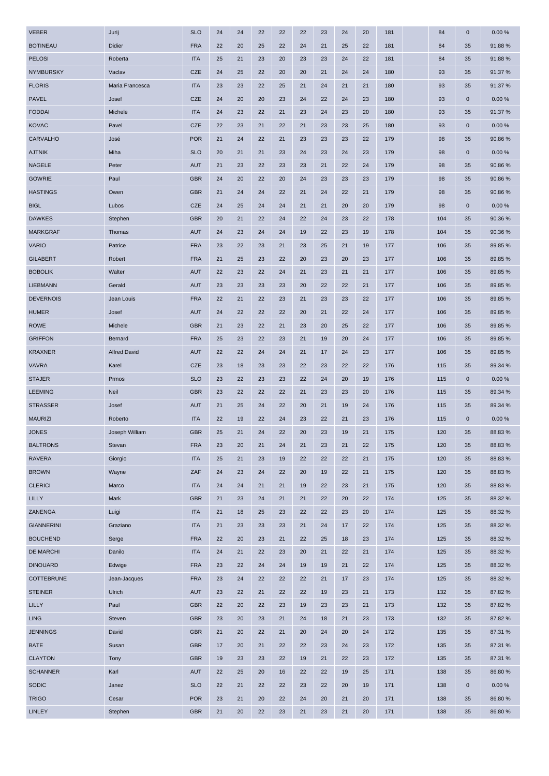| <b>VEBER</b>      | Jurij               | <b>SLO</b> | 24 | 24 | 22 | 22 | 22 | 23 | 24 | 20 | 181 | 84  | 0           | 0.00%   |
|-------------------|---------------------|------------|----|----|----|----|----|----|----|----|-----|-----|-------------|---------|
| <b>BOTINEAU</b>   | Didier              | <b>FRA</b> | 22 | 20 | 25 | 22 | 24 | 21 | 25 | 22 | 181 | 84  | 35          | 91.88%  |
| <b>PELOSI</b>     | Roberta             | <b>ITA</b> | 25 | 21 | 23 | 20 | 23 | 23 | 24 | 22 | 181 | 84  | 35          | 91.88%  |
| <b>NYMBURSKY</b>  | Vaclav              | <b>CZE</b> | 24 | 25 | 22 | 20 | 20 | 21 | 24 | 24 | 180 | 93  | 35          | 91.37 % |
| <b>FLORIS</b>     | Maria Francesca     | <b>ITA</b> | 23 | 23 | 22 | 25 | 21 | 24 | 21 | 21 | 180 | 93  | 35          | 91.37 % |
| <b>PAVEL</b>      | Josef               | <b>CZE</b> | 24 | 20 | 20 | 23 | 24 | 22 | 24 | 23 | 180 | 93  | $\mathbf 0$ | 0.00%   |
| <b>FODDAI</b>     | Michele             | <b>ITA</b> | 24 | 23 | 22 | 21 | 23 | 24 | 23 | 20 | 180 | 93  | 35          | 91.37 % |
| <b>KOVAC</b>      | Pavel               | CZE        | 22 | 23 | 21 | 22 | 21 | 23 | 23 | 25 | 180 | 93  | $\mathbf 0$ | 0.00%   |
| CARVALHO          | José                | <b>POR</b> | 21 | 24 | 22 | 21 | 23 | 23 | 23 | 22 | 179 | 98  | 35          | 90.86%  |
| <b>AJTNIK</b>     | Miha                | <b>SLO</b> | 20 | 21 | 21 | 23 | 24 | 23 | 24 | 23 | 179 | 98  | $\mathbf 0$ | 0.00%   |
| <b>NAGELE</b>     | Peter               | <b>AUT</b> | 21 | 23 | 22 | 23 | 23 | 21 | 22 | 24 | 179 | 98  | 35          | 90.86%  |
| <b>GOWRIE</b>     | Paul                | <b>GBR</b> | 24 | 20 | 22 | 20 | 24 | 23 | 23 | 23 | 179 | 98  | 35          | 90.86%  |
| <b>HASTINGS</b>   | Owen                | <b>GBR</b> | 21 | 24 | 24 | 22 | 21 | 24 | 22 | 21 | 179 | 98  | 35          | 90.86%  |
| <b>BIGL</b>       | Lubos               | <b>CZE</b> | 24 | 25 | 24 | 24 | 21 | 21 | 20 | 20 | 179 | 98  | $\mathbf 0$ | 0.00%   |
| <b>DAWKES</b>     | Stephen             | <b>GBR</b> | 20 | 21 | 22 | 24 | 22 | 24 | 23 | 22 | 178 | 104 | 35          | 90.36%  |
| <b>MARKGRAF</b>   | Thomas              | <b>AUT</b> | 24 | 23 | 24 | 24 | 19 | 22 | 23 | 19 | 178 | 104 | 35          | 90.36 % |
| <b>VARIO</b>      | Patrice             | <b>FRA</b> | 23 | 22 | 23 | 21 | 23 | 25 | 21 | 19 | 177 | 106 | 35          | 89.85 % |
| <b>GILABERT</b>   | Robert              | <b>FRA</b> | 21 | 25 | 23 | 22 | 20 | 23 | 20 | 23 | 177 | 106 | 35          | 89.85 % |
| <b>BOBOLIK</b>    | Walter              | <b>AUT</b> | 22 | 23 | 22 | 24 | 21 | 23 | 21 | 21 | 177 | 106 | 35          | 89.85 % |
| <b>LIEBMANN</b>   | Gerald              | <b>AUT</b> | 23 | 23 | 23 | 23 | 20 | 22 | 22 | 21 | 177 | 106 | 35          | 89.85 % |
| <b>DEVERNOIS</b>  | Jean Louis          | <b>FRA</b> | 22 | 21 | 22 | 23 | 21 | 23 | 23 | 22 | 177 | 106 | 35          | 89.85 % |
| <b>HUMER</b>      | Josef               | <b>AUT</b> | 24 | 22 | 22 | 22 | 20 | 21 | 22 | 24 | 177 | 106 | 35          | 89.85 % |
| <b>ROWE</b>       | Michele             | <b>GBR</b> | 21 | 23 | 22 | 21 | 23 | 20 | 25 | 22 | 177 | 106 | 35          | 89.85 % |
| <b>GRIFFON</b>    | Bernard             | <b>FRA</b> | 25 | 23 | 22 | 23 | 21 | 19 | 20 | 24 | 177 | 106 | 35          | 89.85 % |
| <b>KRAXNER</b>    | <b>Alfred David</b> | <b>AUT</b> | 22 | 22 | 24 | 24 | 21 | 17 | 24 | 23 | 177 | 106 | 35          | 89.85 % |
| <b>VAVRA</b>      | Karel               | <b>CZE</b> | 23 | 18 | 23 | 23 | 22 | 23 | 22 | 22 | 176 | 115 | 35          | 89.34 % |
| <b>STAJER</b>     | Prmos               | <b>SLO</b> | 23 | 22 | 23 | 23 | 22 | 24 | 20 | 19 | 176 | 115 | $\mathbf 0$ | 0.00%   |
| <b>LEEMING</b>    | Neil                | <b>GBR</b> | 23 | 22 | 22 | 22 | 21 | 23 | 23 | 20 | 176 | 115 | 35          | 89.34 % |
| <b>STRASSER</b>   | Josef               | <b>AUT</b> | 21 | 25 | 24 | 22 | 20 | 21 | 19 | 24 | 176 | 115 | 35          | 89.34 % |
| <b>MAURIZI</b>    | Roberto             | <b>ITA</b> | 22 | 19 | 22 | 24 | 23 | 22 | 21 | 23 | 176 | 115 | $\mathbf 0$ | 0.00%   |
| <b>JONES</b>      | Joseph William      | <b>GBR</b> | 25 | 21 | 24 | 22 | 20 | 23 | 19 | 21 | 175 | 120 | 35          | 88.83%  |
| <b>BALTRONS</b>   | Stevan              | <b>FRA</b> | 23 | 20 | 21 | 24 | 21 | 23 | 21 | 22 | 175 | 120 | 35          | 88.83%  |
| <b>RAVERA</b>     | Giorgio             | <b>ITA</b> | 25 | 21 | 23 | 19 | 22 | 22 | 22 | 21 | 175 | 120 | 35          | 88.83%  |
| <b>BROWN</b>      | Wayne               | ZAF        | 24 | 23 | 24 | 22 | 20 | 19 | 22 | 21 | 175 | 120 | 35          | 88.83%  |
| <b>CLERICI</b>    | Marco               | <b>ITA</b> | 24 | 24 | 21 | 21 | 19 | 22 | 23 | 21 | 175 | 120 | 35          | 88.83%  |
| LILLY             | Mark                | <b>GBR</b> | 21 | 23 | 24 | 21 | 21 | 22 | 20 | 22 | 174 | 125 | 35          | 88.32 % |
| ZANENGA           | Luigi               | <b>ITA</b> | 21 | 18 | 25 | 23 | 22 | 22 | 23 | 20 | 174 | 125 | 35          | 88.32 % |
| <b>GIANNERINI</b> | Graziano            | <b>ITA</b> | 21 | 23 | 23 | 23 | 21 | 24 | 17 | 22 | 174 | 125 | 35          | 88.32%  |
| <b>BOUCHEND</b>   | Serge               | <b>FRA</b> | 22 | 20 | 23 | 21 | 22 | 25 | 18 | 23 | 174 | 125 | 35          | 88.32 % |
| <b>DE MARCHI</b>  | Danilo              | <b>ITA</b> | 24 | 21 | 22 | 23 | 20 | 21 | 22 | 21 | 174 | 125 | 35          | 88.32 % |
| <b>DINOUARD</b>   | Edwige              | <b>FRA</b> | 23 | 22 | 24 | 24 | 19 | 19 | 21 | 22 | 174 | 125 | 35          | 88.32%  |
| <b>COTTEBRUNE</b> | Jean-Jacques        | <b>FRA</b> | 23 | 24 | 22 | 22 | 22 | 21 | 17 | 23 | 174 | 125 | 35          | 88.32 % |
| <b>STEINER</b>    | Ulrich              | <b>AUT</b> | 23 | 22 | 21 | 22 | 22 | 19 | 23 | 21 | 173 | 132 | 35          | 87.82%  |
| LILLY             | Paul                | <b>GBR</b> | 22 | 20 | 22 | 23 | 19 | 23 | 23 | 21 | 173 | 132 | 35          | 87.82%  |
| <b>LING</b>       | Steven              | <b>GBR</b> | 23 | 20 | 23 | 21 | 24 | 18 | 21 | 23 | 173 | 132 | 35          | 87.82%  |
| <b>JENNINGS</b>   | David               | <b>GBR</b> | 21 | 20 | 22 | 21 | 20 | 24 | 20 | 24 | 172 | 135 | 35          | 87.31 % |
| <b>BATE</b>       | Susan               | <b>GBR</b> | 17 | 20 | 21 | 22 | 22 | 23 | 24 | 23 | 172 | 135 | 35          | 87.31 % |
| <b>CLAYTON</b>    | Tony                | <b>GBR</b> | 19 | 23 | 23 | 22 | 19 | 21 | 22 | 23 | 172 | 135 | 35          | 87.31 % |
| <b>SCHANNER</b>   | Karl                | <b>AUT</b> | 22 | 25 | 20 | 16 | 22 | 22 | 19 | 25 | 171 | 138 | 35          | 86.80%  |
| <b>SODIC</b>      | Janez               | <b>SLO</b> | 22 | 21 | 22 | 22 | 23 | 22 | 20 | 19 | 171 | 138 | $\mathbf 0$ | 0.00%   |
| <b>TRIGO</b>      | Cesar               | <b>POR</b> | 23 | 21 | 20 | 22 | 24 | 20 | 21 | 20 | 171 | 138 | 35          | 86.80%  |
| <b>LINLEY</b>     | Stephen             | <b>GBR</b> | 21 | 20 | 22 | 23 | 21 | 23 | 21 | 20 | 171 | 138 | 35          | 86.80%  |
|                   |                     |            |    |    |    |    |    |    |    |    |     |     |             |         |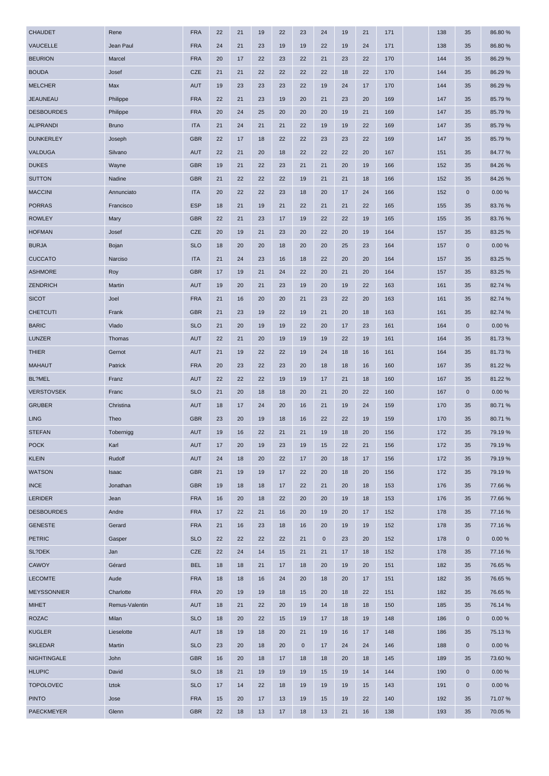| <b>CHAUDET</b>     | Rene           | <b>FRA</b> | 22 | 21 | 19 | 22 | 23          | 24          | 19 | 21 | 171 | 138 | 35          | 86.80%  |
|--------------------|----------------|------------|----|----|----|----|-------------|-------------|----|----|-----|-----|-------------|---------|
| VAUCELLE           | Jean Paul      | <b>FRA</b> | 24 | 21 | 23 | 19 | 19          | 22          | 19 | 24 | 171 | 138 | 35          | 86.80%  |
| <b>BEURION</b>     | Marcel         | <b>FRA</b> | 20 | 17 | 22 | 23 | 22          | 21          | 23 | 22 | 170 | 144 | 35          | 86.29%  |
| <b>BOUDA</b>       | Josef          | <b>CZE</b> | 21 | 21 | 22 | 22 | 22          | 22          | 18 | 22 | 170 | 144 | 35          | 86.29 % |
| <b>MELCHER</b>     | Max            | <b>AUT</b> | 19 | 23 | 23 | 23 | 22          | 19          | 24 | 17 | 170 | 144 | 35          | 86.29%  |
| <b>JEAUNEAU</b>    | Philippe       | <b>FRA</b> | 22 | 21 | 23 | 19 | 20          | 21          | 23 | 20 | 169 | 147 | 35          | 85.79 % |
| <b>DESBOURDES</b>  | Philippe       | <b>FRA</b> | 20 | 24 | 25 | 20 | 20          | 20          | 19 | 21 | 169 | 147 | 35          | 85.79 % |
| <b>ALIPRANDI</b>   | <b>Bruno</b>   | <b>ITA</b> | 21 | 24 | 21 | 21 | 22          | 19          | 19 | 22 | 169 | 147 | 35          | 85.79 % |
| <b>DUNKERLEY</b>   | Joseph         | <b>GBR</b> | 22 | 17 | 18 | 22 | 22          | 23          | 23 | 22 | 169 | 147 | 35          | 85.79%  |
| VALDUGA            | Silvano        | <b>AUT</b> | 22 | 21 | 20 | 18 | 22          | 22          | 22 | 20 | 167 | 151 | 35          | 84.77%  |
| <b>DUKES</b>       | Wayne          | <b>GBR</b> | 19 | 21 | 22 | 23 | 21          | 21          | 20 | 19 | 166 | 152 | 35          | 84.26 % |
| <b>SUTTON</b>      | Nadine         | <b>GBR</b> | 21 | 22 | 22 | 22 | 19          | 21          | 21 | 18 | 166 | 152 | 35          | 84.26%  |
| <b>MACCINI</b>     | Annunciato     | <b>ITA</b> | 20 | 22 | 22 | 23 | 18          | 20          | 17 | 24 | 166 | 152 | $\mathbf 0$ | 0.00%   |
| <b>PORRAS</b>      | Francisco      | <b>ESP</b> | 18 | 21 | 19 | 21 | 22          | 21          | 21 | 22 | 165 | 155 | 35          | 83.76%  |
| <b>ROWLEY</b>      | Mary           | <b>GBR</b> | 22 | 21 | 23 | 17 | 19          | 22          | 22 | 19 | 165 | 155 | 35          | 83.76%  |
| <b>HOFMAN</b>      | Josef          | <b>CZE</b> | 20 | 19 | 21 | 23 | 20          | 22          | 20 | 19 | 164 | 157 | 35          | 83.25 % |
| <b>BURJA</b>       | Bojan          | <b>SLO</b> | 18 | 20 | 20 | 18 | 20          | 20          | 25 | 23 | 164 | 157 | $\mathbf 0$ | 0.00%   |
| <b>CUCCATO</b>     | Narciso        | <b>ITA</b> | 21 | 24 | 23 | 16 | 18          | 22          | 20 | 20 | 164 | 157 | 35          | 83.25 % |
| <b>ASHMORE</b>     | Roy            | <b>GBR</b> | 17 | 19 | 21 | 24 | 22          | 20          | 21 | 20 | 164 | 157 | 35          | 83.25 % |
| ZENDRICH           | Martin         | <b>AUT</b> | 19 | 20 | 21 | 23 | 19          | 20          | 19 | 22 | 163 | 161 | 35          | 82.74 % |
| <b>SICOT</b>       | Joel           | <b>FRA</b> | 21 | 16 | 20 | 20 | 21          | 23          | 22 | 20 | 163 | 161 | 35          | 82.74 % |
| <b>CHETCUTI</b>    | Frank          | <b>GBR</b> | 21 | 23 | 19 | 22 | 19          | 21          | 20 | 18 | 163 | 161 | 35          | 82.74 % |
| <b>BARIC</b>       | Vlado          | <b>SLO</b> | 21 | 20 | 19 | 19 | 22          | 20          | 17 | 23 | 161 | 164 | $\mathbf 0$ | 0.00%   |
| LUNZER             | Thomas         | <b>AUT</b> | 22 | 21 | 20 | 19 | 19          | 19          | 22 | 19 | 161 | 164 | 35          | 81.73%  |
| <b>THIER</b>       | Gernot         | <b>AUT</b> | 21 | 19 | 22 | 22 | 19          | 24          | 18 | 16 | 161 | 164 | 35          | 81.73%  |
| <b>MAHAUT</b>      | Patrick        | <b>FRA</b> | 20 | 23 | 22 | 23 | 20          | 18          | 18 | 16 | 160 | 167 | 35          | 81.22%  |
| BL?MEL             | Franz          | <b>AUT</b> | 22 | 22 | 22 | 19 | 19          | 17          | 21 | 18 | 160 | 167 | 35          | 81.22 % |
| <b>VERSTOVSEK</b>  | Franc          | <b>SLO</b> | 21 | 20 | 18 | 18 | 20          | 21          | 20 | 22 | 160 | 167 | $\mathbf 0$ | 0.00%   |
| <b>GRUBER</b>      | Christina      | <b>AUT</b> | 18 | 17 | 24 | 20 | 16          | 21          | 19 | 24 | 159 | 170 | 35          | 80.71%  |
| <b>LING</b>        | Theo           | <b>GBR</b> | 23 | 20 | 19 | 18 | 16          | 22          | 22 | 19 | 159 | 170 | 35          | 80.71%  |
| <b>STEFAN</b>      | Tobernigg      | <b>AUT</b> | 19 | 16 | 22 | 21 | 21          | 19          | 18 | 20 | 156 | 172 | 35          | 79.19 % |
| <b>POCK</b>        | Karl           | <b>AUT</b> | 17 | 20 | 19 | 23 | 19          | 15          | 22 | 21 | 156 | 172 | 35          | 79.19 % |
| <b>KLEIN</b>       | Rudolf         | <b>AUT</b> | 24 | 18 | 20 | 22 | 17          | 20          | 18 | 17 | 156 | 172 | 35          | 79.19%  |
| <b>WATSON</b>      | Isaac          | <b>GBR</b> | 21 | 19 | 19 | 17 | 22          | 20          | 18 | 20 | 156 | 172 | 35          | 79.19%  |
| <b>INCE</b>        | Jonathan       | <b>GBR</b> | 19 | 18 | 18 | 17 | 22          | 21          | 20 | 18 | 153 | 176 | 35          | 77.66%  |
| LERIDER            | Jean           | <b>FRA</b> | 16 | 20 | 18 | 22 | 20          | 20          | 19 | 18 | 153 | 176 | 35          | 77.66 % |
| <b>DESBOURDES</b>  | Andre          | <b>FRA</b> | 17 | 22 | 21 | 16 | 20          | 19          | 20 | 17 | 152 | 178 | 35          | 77.16%  |
| <b>GENESTE</b>     | Gerard         | <b>FRA</b> | 21 | 16 | 23 | 18 | 16          | 20          | 19 | 19 | 152 | 178 | 35          | 77.16 % |
| <b>PETRIC</b>      | Gasper         | <b>SLO</b> | 22 | 22 | 22 | 22 | 21          | $\mathbf 0$ | 23 | 20 | 152 | 178 | $\mathbf 0$ | 0.00%   |
| SL?DEK             | Jan            | <b>CZE</b> | 22 | 24 | 14 | 15 | 21          | 21          | 17 | 18 | 152 | 178 | 35          | 77.16%  |
| CAWOY              | Gérard         | <b>BEL</b> | 18 | 18 | 21 | 17 | 18          | 20          | 19 | 20 | 151 | 182 | 35          | 76.65 % |
| <b>LECOMTE</b>     | Aude           | <b>FRA</b> | 18 | 18 | 16 | 24 | 20          | 18          | 20 | 17 | 151 | 182 | 35          | 76.65%  |
| <b>MEYSSONNIER</b> | Charlotte      | <b>FRA</b> | 20 | 19 | 19 | 18 | 15          | 20          | 18 | 22 | 151 | 182 | 35          | 76.65 % |
| <b>MIHET</b>       | Remus-Valentin | <b>AUT</b> | 18 | 21 | 22 | 20 | 19          | 14          | 18 | 18 | 150 | 185 | 35          | 76.14 % |
| <b>ROZAC</b>       | Milan          | <b>SLO</b> | 18 | 20 | 22 | 15 | 19          | 17          | 18 | 19 | 148 | 186 | $\mathbf 0$ | 0.00%   |
| <b>KUGLER</b>      | Lieselotte     | <b>AUT</b> | 18 | 19 | 18 | 20 | 21          | 19          | 16 | 17 | 148 | 186 | 35          | 75.13 % |
| <b>SKLEDAR</b>     | Martin         | <b>SLO</b> | 23 | 20 | 18 | 20 | $\mathbf 0$ | 17          | 24 | 24 | 146 | 188 | $\mathbf 0$ | 0.00%   |
| <b>NIGHTINGALE</b> | John           | <b>GBR</b> | 16 | 20 | 18 | 17 | 18          | 18          | 20 | 18 | 145 | 189 | 35          | 73.60 % |
| <b>HLUPIC</b>      | David          | <b>SLO</b> | 18 | 21 | 19 | 19 | 19          | 15          | 19 | 14 | 144 | 190 | $\mathbf 0$ | 0.00%   |
| <b>TOPOLOVEC</b>   | Iztok          | <b>SLO</b> | 17 | 14 | 22 | 18 | 19          | 19          | 19 | 15 | 143 | 191 | $\mathbf 0$ | 0.00%   |
| <b>PINTO</b>       | Jose           | <b>FRA</b> | 15 | 20 | 17 | 13 | 19          | 15          | 19 | 22 | 140 | 192 | 35          | 71.07%  |
| <b>PAECKMEYER</b>  | Glenn          | <b>GBR</b> | 22 | 18 | 13 | 17 | 18          | 13          | 21 | 16 | 138 | 193 | 35          | 70.05 % |
|                    |                |            |    |    |    |    |             |             |    |    |     |     |             |         |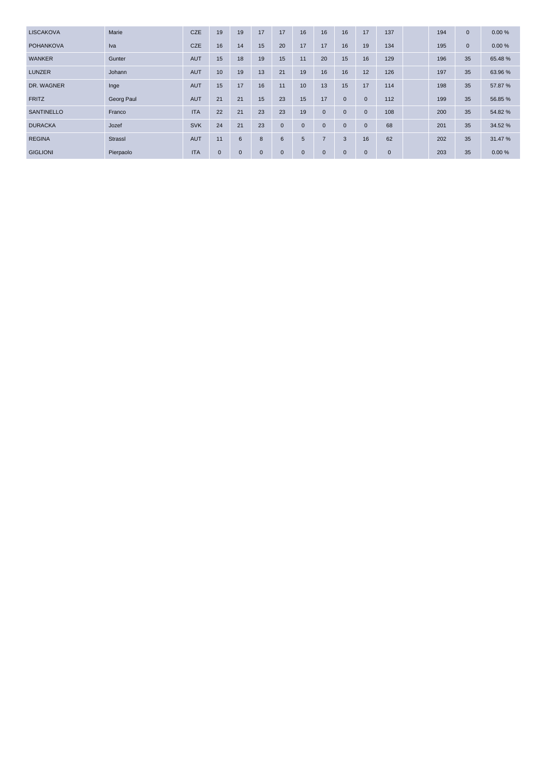| <b>LISCAKOVA</b>  | Marie      | <b>CZE</b> | 19           | 19          | 17          | 17           | 16           | 16           | 16           | 17           | 137         | 194 | $\mathbf{0}$ | 0.00%   |
|-------------------|------------|------------|--------------|-------------|-------------|--------------|--------------|--------------|--------------|--------------|-------------|-----|--------------|---------|
| <b>POHANKOVA</b>  | Iva        | <b>CZE</b> | 16           | 14          | 15          | 20           | 17           | 17           | 16           | 19           | 134         | 195 | $\mathbf{0}$ | 0.00%   |
| <b>WANKER</b>     | Gunter     | <b>AUT</b> | 15           | 18          | 19          | 15           | 11           | 20           | 15           | 16           | 129         | 196 | 35           | 65.48%  |
| <b>LUNZER</b>     | Johann     | <b>AUT</b> | 10           | 19          | 13          | 21           | 19           | 16           | 16           | 12           | 126         | 197 | 35           | 63.96%  |
| DR. WAGNER        | Inge       | AUT        | 15           | 17          | 16          | 11           | 10           | 13           | 15           | 17           | 114         | 198 | 35           | 57.87 % |
| <b>FRITZ</b>      | Georg Paul | <b>AUT</b> | 21           | 21          | 15          | 23           | 15           | 17           | $\mathbf{0}$ | $\mathbf{0}$ | 112         | 199 | 35           | 56.85 % |
| <b>SANTINELLO</b> | Franco     | <b>ITA</b> | 22           | 21          | 23          | 23           | 19           | $\mathbf{0}$ | $\mathbf{0}$ | $\mathbf{0}$ | 108         | 200 | 35           | 54.82%  |
| <b>DURACKA</b>    | Jozef      | <b>SVK</b> | 24           | 21          | 23          | $\mathbf{0}$ | $\mathbf{0}$ | $\mathbf{0}$ | $\mathbf{0}$ | $\mathbf{0}$ | 68          | 201 | 35           | 34.52 % |
| <b>REGINA</b>     | Strassl    | <b>AUT</b> | 11           | 6           | 8           | 6            | 5            |              | 3            | 16           | 62          | 202 | 35           | 31.47 % |
| <b>GIGLIONI</b>   | Pierpaolo  | <b>ITA</b> | $\mathbf{0}$ | $\mathbf 0$ | $\mathbf 0$ | $\mathbf{0}$ | $\mathbf{0}$ | $\mathbf{0}$ | $\mathbf{0}$ | $\mathbf{0}$ | $\mathbf 0$ | 203 | 35           | 0.00%   |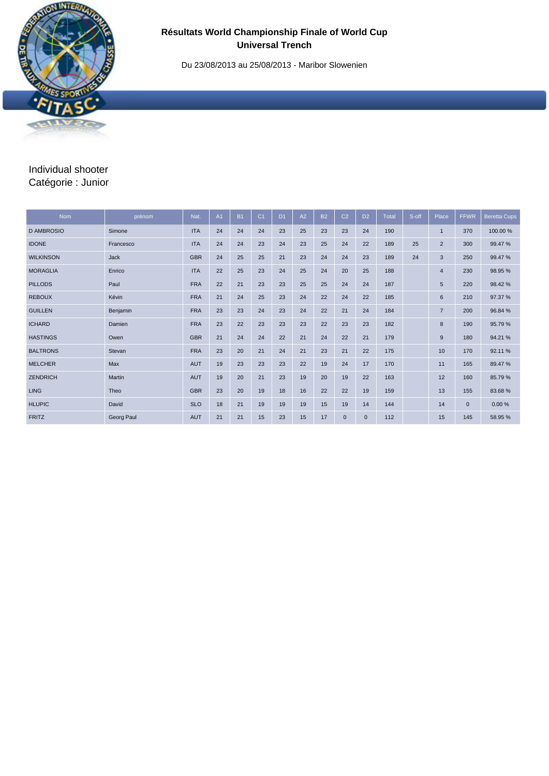Du 23/08/2013 au 25/08/2013 - Maribor Slowenien

# Individual shooter Catégorie : Junior

| <b>Nom</b>        | prénom     | Nat.       | A <sub>1</sub> | <b>B1</b> | C <sub>1</sub> | D <sub>1</sub> | A2 | <b>B2</b> | C <sub>2</sub> | D <sub>2</sub> | Total | S-off | Place          | <b>FFWR</b>  | <b>Beretta Cups</b> |
|-------------------|------------|------------|----------------|-----------|----------------|----------------|----|-----------|----------------|----------------|-------|-------|----------------|--------------|---------------------|
| <b>D AMBROSIO</b> | Simone     | <b>ITA</b> | 24             | 24        | 24             | 23             | 25 | 23        | 23             | 24             | 190   |       | $\mathbf{1}$   | 370          | 100.00 %            |
| <b>IDONE</b>      | Francesco  | <b>ITA</b> | 24             | 24        | 23             | 24             | 23 | 25        | 24             | 22             | 189   | 25    | $\overline{2}$ | 300          | 99.47%              |
| <b>WILKINSON</b>  | Jack       | <b>GBR</b> | 24             | 25        | 25             | 21             | 23 | 24        | 24             | 23             | 189   | 24    | 3              | 250          | 99.47%              |
| <b>MORAGLIA</b>   | Enrico     | <b>ITA</b> | 22             | 25        | 23             | 24             | 25 | 24        | 20             | 25             | 188   |       | $\overline{4}$ | 230          | 98.95 %             |
| <b>PILLODS</b>    | Paul       | <b>FRA</b> | 22             | 21        | 23             | 23             | 25 | 25        | 24             | 24             | 187   |       | 5              | 220          | 98.42%              |
| <b>REBOUX</b>     | Kévin      | <b>FRA</b> | 21             | 24        | 25             | 23             | 24 | 22        | 24             | 22             | 185   |       | 6              | 210          | 97.37 %             |
| <b>GUILLEN</b>    | Benjamin   | <b>FRA</b> | 23             | 23        | 24             | 23             | 24 | 22        | 21             | 24             | 184   |       | $\overline{7}$ | 200          | 96.84 %             |
| <b>ICHARD</b>     | Damien     | <b>FRA</b> | 23             | 22        | 23             | 23             | 23 | 22        | 23             | 23             | 182   |       | 8              | 190          | 95.79%              |
| <b>HASTINGS</b>   | Owen       | <b>GBR</b> | 21             | 24        | 24             | 22             | 21 | 24        | 22             | 21             | 179   |       | $9$            | 180          | 94.21%              |
| <b>BALTRONS</b>   | Stevan     | <b>FRA</b> | 23             | 20        | 21             | 24             | 21 | 23        | 21             | 22             | 175   |       | 10             | 170          | 92.11%              |
| <b>MELCHER</b>    | Max        | <b>AUT</b> | 19             | 23        | 23             | 23             | 22 | 19        | 24             | 17             | 170   |       | 11             | 165          | 89.47%              |
| <b>ZENDRICH</b>   | Martin     | <b>AUT</b> | 19             | 20        | 21             | 23             | 19 | 20        | 19             | 22             | 163   |       | 12             | 160          | 85.79%              |
| <b>LING</b>       | Theo       | <b>GBR</b> | 23             | 20        | 19             | 18             | 16 | 22        | 22             | 19             | 159   |       | 13             | 155          | 83.68%              |
| <b>HLUPIC</b>     | David      | <b>SLO</b> | 18             | 21        | 19             | 19             | 19 | 15        | 19             | 14             | 144   |       | 14             | $\mathbf{0}$ | 0.00%               |
| <b>FRITZ</b>      | Georg Paul | <b>AUT</b> | 21             | 21        | 15             | 23             | 15 | 17        | $\mathbf{0}$   | $\mathbf{0}$   | 112   |       | 15             | 145          | 58.95 %             |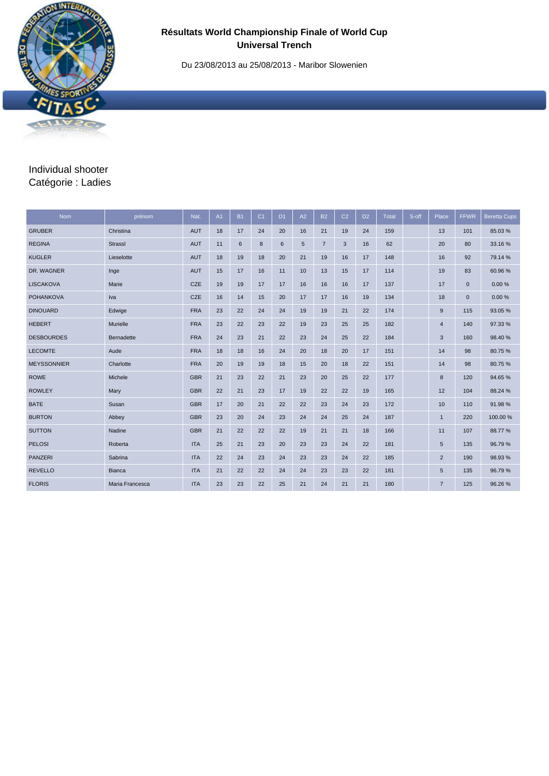Du 23/08/2013 au 25/08/2013 - Maribor Slowenien

## Individual shooter Catégorie : Ladies

| <b>Nom</b>         | prénom          | Nat.       | A1 | <b>B1</b> | C <sub>1</sub> | D <sub>1</sub> | A2 | <b>B2</b>      | C <sub>2</sub> | D <sub>2</sub> | Total | S-off | Place          | <b>FFWR</b> | <b>Beretta Cups</b> |
|--------------------|-----------------|------------|----|-----------|----------------|----------------|----|----------------|----------------|----------------|-------|-------|----------------|-------------|---------------------|
| <b>GRUBER</b>      | Christina       | <b>AUT</b> | 18 | 17        | 24             | 20             | 16 | 21             | 19             | 24             | 159   |       | 13             | 101         | 85.03%              |
| <b>REGINA</b>      | <b>Strassl</b>  | <b>AUT</b> | 11 | 6         | 8              | 6              | 5  | $\overline{7}$ | 3              | 16             | 62    |       | 20             | 80          | 33.16%              |
| <b>KUGLER</b>      | Lieselotte      | <b>AUT</b> | 18 | 19        | 18             | 20             | 21 | 19             | 16             | 17             | 148   |       | 16             | 92          | 79.14 %             |
| DR. WAGNER         | Inge            | <b>AUT</b> | 15 | 17        | 16             | 11             | 10 | 13             | 15             | 17             | 114   |       | 19             | 83          | 60.96%              |
| <b>LISCAKOVA</b>   | Marie           | CZE        | 19 | 19        | 17             | 17             | 16 | 16             | 16             | 17             | 137   |       | 17             | $\mathbf 0$ | 0.00%               |
| <b>POHANKOVA</b>   | Iva             | CZE        | 16 | 14        | 15             | 20             | 17 | 17             | 16             | 19             | 134   |       | 18             | $\mathbf 0$ | 0.00%               |
| <b>DINOUARD</b>    | Edwige          | <b>FRA</b> | 23 | 22        | 24             | 24             | 19 | 19             | 21             | 22             | 174   |       | 9              | 115         | 93.05 %             |
| <b>HEBERT</b>      | Murielle        | <b>FRA</b> | 23 | 22        | 23             | 22             | 19 | 23             | 25             | 25             | 182   |       | $\overline{4}$ | 140         | 97.33%              |
| <b>DESBOURDES</b>  | Bernadette      | <b>FRA</b> | 24 | 23        | 21             | 22             | 23 | 24             | 25             | 22             | 184   |       | 3              | 160         | 98.40%              |
| <b>LECOMTE</b>     | Aude            | <b>FRA</b> | 18 | 18        | 16             | 24             | 20 | 18             | 20             | 17             | 151   |       | 14             | 98          | 80.75%              |
| <b>MEYSSONNIER</b> | Charlotte       | <b>FRA</b> | 20 | 19        | 19             | 18             | 15 | 20             | 18             | 22             | 151   |       | 14             | 98          | 80.75%              |
| <b>ROWE</b>        | Michele         | <b>GBR</b> | 21 | 23        | 22             | 21             | 23 | 20             | 25             | 22             | 177   |       | 8              | 120         | 94.65%              |
| <b>ROWLEY</b>      | Mary            | <b>GBR</b> | 22 | 21        | 23             | 17             | 19 | 22             | 22             | 19             | 165   |       | 12             | 104         | 88.24 %             |
| <b>BATE</b>        | Susan           | <b>GBR</b> | 17 | 20        | 21             | 22             | 22 | 23             | 24             | 23             | 172   |       | 10             | 110         | 91.98%              |
| <b>BURTON</b>      | Abbey           | <b>GBR</b> | 23 | 20        | 24             | 23             | 24 | 24             | 25             | 24             | 187   |       | $\overline{1}$ | 220         | 100.00 %            |
| <b>SUTTON</b>      | Nadine          | <b>GBR</b> | 21 | 22        | 22             | 22             | 19 | 21             | 21             | 18             | 166   |       | 11             | 107         | 88.77%              |
| <b>PELOSI</b>      | Roberta         | <b>ITA</b> | 25 | 21        | 23             | 20             | 23 | 23             | 24             | 22             | 181   |       | 5              | 135         | 96.79%              |
| <b>PANZERI</b>     | Sabrina         | <b>ITA</b> | 22 | 24        | 23             | 24             | 23 | 23             | 24             | 22             | 185   |       | $\overline{2}$ | 190         | 98.93%              |
| <b>REVELLO</b>     | <b>Bianca</b>   | <b>ITA</b> | 21 | 22        | 22             | 24             | 24 | 23             | 23             | 22             | 181   |       | 5              | 135         | 96.79%              |
| <b>FLORIS</b>      | Maria Francesca | <b>ITA</b> | 23 | 23        | 22             | 25             | 21 | 24             | 21             | 21             | 180   |       | $\overline{7}$ | 125         | 96.26%              |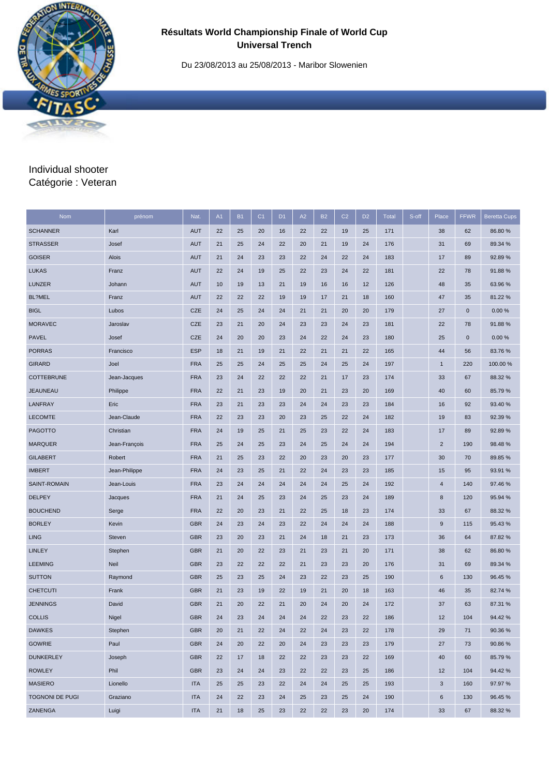Du 23/08/2013 au 25/08/2013 - Maribor Slowenien

## Individual shooter Catégorie : Veteran

| <b>Nom</b>        | prénom        | Nat.       | A1 | <b>B1</b> | C <sub>1</sub> | D <sub>1</sub> | A2 | <b>B2</b> | C <sub>2</sub> | D <sub>2</sub> | <b>Total</b> | S-off | Place          | <b>FFWR</b> | <b>Beretta Cups</b> |
|-------------------|---------------|------------|----|-----------|----------------|----------------|----|-----------|----------------|----------------|--------------|-------|----------------|-------------|---------------------|
| <b>SCHANNER</b>   | Karl          | <b>AUT</b> | 22 | 25        | 20             | 16             | 22 | 22        | 19             | 25             | 171          |       | 38             | 62          | 86.80%              |
| <b>STRASSER</b>   | Josef         | <b>AUT</b> | 21 | 25        | 24             | 22             | 20 | 21        | 19             | 24             | 176          |       | 31             | 69          | 89.34 %             |
| <b>GOISER</b>     | Alois         | <b>AUT</b> | 21 | 24        | 23             | 23             | 22 | 24        | 22             | 24             | 183          |       | 17             | 89          | 92.89%              |
| <b>LUKAS</b>      | Franz         | <b>AUT</b> | 22 | 24        | 19             | 25             | 22 | 23        | 24             | 22             | 181          |       | 22             | 78          | 91.88%              |
| <b>LUNZER</b>     | Johann        | <b>AUT</b> | 10 | 19        | 13             | 21             | 19 | 16        | 16             | 12             | 126          |       | 48             | 35          | 63.96 %             |
| BL?MEL            | Franz         | <b>AUT</b> | 22 | 22        | 22             | 19             | 19 | 17        | 21             | 18             | 160          |       | 47             | 35          | 81.22%              |
| <b>BIGL</b>       | Lubos         | <b>CZE</b> | 24 | 25        | 24             | 24             | 21 | 21        | 20             | 20             | 179          |       | 27             | $\mathbf 0$ | 0.00%               |
| <b>MORAVEC</b>    | Jaroslav      | <b>CZE</b> | 23 | 21        | 20             | 24             | 23 | 23        | 24             | 23             | 181          |       | 22             | 78          | 91.88%              |
| <b>PAVEL</b>      | Josef         | <b>CZE</b> | 24 | 20        | 20             | 23             | 24 | 22        | 24             | 23             | 180          |       | 25             | $\mathbf 0$ | 0.00%               |
| <b>PORRAS</b>     | Francisco     | <b>ESP</b> | 18 | 21        | 19             | 21             | 22 | 21        | 21             | 22             | 165          |       | 44             | 56          | 83.76%              |
| <b>GIRARD</b>     | Joel          | <b>FRA</b> | 25 | 25        | 24             | 25             | 25 | 24        | 25             | 24             | 197          |       | $\mathbf{1}$   | 220         | 100.00 %            |
| <b>COTTEBRUNE</b> | Jean-Jacques  | <b>FRA</b> | 23 | 24        | 22             | 22             | 22 | 21        | 17             | 23             | 174          |       | 33             | 67          | 88.32 %             |
| <b>JEAUNEAU</b>   | Philippe      | <b>FRA</b> | 22 | 21        | 23             | 19             | 20 | 21        | 23             | 20             | 169          |       | 40             | 60          | 85.79%              |
| LANFRAY           | Eric          | <b>FRA</b> | 23 | 21        | 23             | 23             | 24 | 24        | 23             | 23             | 184          |       | 16             | 92          | 93.40 %             |
| <b>LECOMTE</b>    | Jean-Claude   | <b>FRA</b> | 22 | 23        | 23             | 20             | 23 | 25        | 22             | 24             | 182          |       | 19             | 83          | 92.39 %             |
| <b>PAGOTTO</b>    | Christian     | <b>FRA</b> | 24 | 19        | 25             | 21             | 25 | 23        | 22             | 24             | 183          |       | 17             | 89          | 92.89%              |
| <b>MARQUER</b>    | Jean-François | <b>FRA</b> | 25 | 24        | 25             | 23             | 24 | 25        | 24             | 24             | 194          |       | $\overline{2}$ | 190         | 98.48%              |
| <b>GILABERT</b>   | Robert        | <b>FRA</b> | 21 | 25        | 23             | 22             | 20 | 23        | 20             | 23             | 177          |       | 30             | 70          | 89.85 %             |
| <b>IMBERT</b>     | Jean-Philippe | <b>FRA</b> | 24 | 23        | 25             | 21             | 22 | 24        | 23             | 23             | 185          |       | 15             | 95          | 93.91 %             |
| SAINT-ROMAIN      | Jean-Louis    | <b>FRA</b> | 23 | 24        | 24             | 24             | 24 | 24        | 25             | 24             | 192          |       | $\overline{4}$ | 140         | 97.46%              |
| <b>DELPEY</b>     | Jacques       | <b>FRA</b> | 21 | 24        | 25             | 23             | 24 | 25        | 23             | 24             | 189          |       | 8              | 120         | 95.94 %             |
| <b>BOUCHEND</b>   | Serge         | <b>FRA</b> | 22 | 20        | 23             | 21             | 22 | 25        | 18             | 23             | 174          |       | 33             | 67          | 88.32 %             |
| <b>BORLEY</b>     | Kevin         | <b>GBR</b> | 24 | 23        | 24             | 23             | 22 | 24        | 24             | 24             | 188          |       | $9\,$          | 115         | 95.43%              |
| <b>LING</b>       | Steven        | <b>GBR</b> | 23 | 20        | 23             | 21             | 24 | 18        | 21             | 23             | 173          |       | 36             | 64          | 87.82 %             |
| <b>LINLEY</b>     | Stephen       | <b>GBR</b> | 21 | 20        | 22             | 23             | 21 | 23        | 21             | 20             | 171          |       | 38             | 62          | 86.80 %             |
| <b>LEEMING</b>    | Neil          | <b>GBR</b> | 23 | 22        | 22             | 22             | 21 | 23        | 23             | 20             | 176          |       | 31             | 69          | 89.34 %             |
| <b>SUTTON</b>     | Raymond       | <b>GBR</b> | 25 | 23        | 25             | 24             | 23 | 22        | 23             | 25             | 190          |       | 6              | 130         | 96.45 %             |
| <b>CHETCUTI</b>   | Frank         | <b>GBR</b> | 21 | 23        | 19             | 22             | 19 | 21        | 20             | 18             | 163          |       | 46             | 35          | 82.74 %             |
| <b>JENNINGS</b>   | David         | <b>GBR</b> | 21 | 20        | 22             | 21             | 20 | 24        | 20             | 24             | 172          |       | 37             | 63          | 87.31 %             |
| <b>COLLIS</b>     | Nigel         | <b>GBR</b> | 24 | 23        | 24             | 24             | 24 | 22        | 23             | 22             | 186          |       | 12             | 104         | 94.42%              |
| <b>DAWKES</b>     | Stephen       | <b>GBR</b> | 20 | 21        | 22             | 24             | 22 | 24        | 23             | 22             | 178          |       | 29             | 71          | 90.36%              |
| <b>GOWRIE</b>     | Paul          | <b>GBR</b> | 24 | 20        | 22             | 20             | 24 | 23        | 23             | 23             | 179          |       | 27             | 73          | 90.86%              |
| <b>DUNKERLEY</b>  | Joseph        | <b>GBR</b> | 22 | 17        | 18             | 22             | 22 | 23        | 23             | 22             | 169          |       | 40             | 60          | 85.79%              |
| <b>ROWLEY</b>     | Phil          | <b>GBR</b> | 23 | 24        | 24             | 23             | 22 | 22        | 23             | 25             | 186          |       | 12             | 104         | 94.42%              |
| <b>MASIERO</b>    | Lionello      | <b>ITA</b> | 25 | 25        | 23             | 22             | 24 | 24        | 25             | 25             | 193          |       | $\mathbf{3}$   | 160         | 97.97 %             |
| TOGNONI DE PUGI   | Graziano      | <b>ITA</b> | 24 | 22        | 23             | 24             | 25 | 23        | 25             | 24             | 190          |       | $\,6$          | 130         | 96.45 %             |
| ZANENGA           | Luigi         | <b>ITA</b> | 21 | 18        | 25             | 23             | 22 | 22        | 23             | 20             | 174          |       | 33             | 67          | 88.32 %             |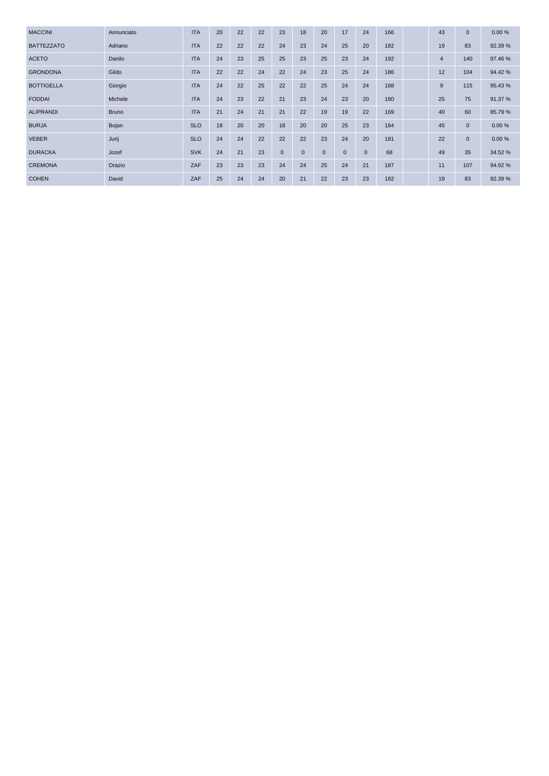| <b>MACCINI</b>    | Annunciato   | <b>ITA</b> | 20 | 22 | 22 | 23             | 18          | 20           | 17           | 24           | 166 | 43             | $\mathbf{0}$ | 0.00%   |
|-------------------|--------------|------------|----|----|----|----------------|-------------|--------------|--------------|--------------|-----|----------------|--------------|---------|
| <b>BATTEZZATO</b> | Adriano      | <b>ITA</b> | 22 | 22 | 22 | 24             | 23          | 24           | 25           | 20           | 182 | 19             | 83           | 92.39 % |
| <b>ACETO</b>      | Danilo       | <b>ITA</b> | 24 | 23 | 25 | 25             | 23          | 25           | 23           | 24           | 192 | $\overline{4}$ | 140          | 97.46%  |
| <b>GRONDONA</b>   | Gildo        | <b>ITA</b> | 22 | 22 | 24 | 22             | 24          | 23           | 25           | 24           | 186 | 12             | 104          | 94.42%  |
| <b>BOTTIGELLA</b> | Giorgio      | <b>ITA</b> | 24 | 22 | 25 | 22             | 22          | 25           | 24           | 24           | 188 | 9              | 115          | 95.43%  |
| <b>FODDAI</b>     | Michele      | <b>ITA</b> | 24 | 23 | 22 | 21             | 23          | 24           | 23           | 20           | 180 | 25             | 75           | 91.37 % |
| <b>ALIPRANDI</b>  | <b>Bruno</b> | <b>ITA</b> | 21 | 24 | 21 | 21             | 22          | 19           | 19           | 22           | 169 | 40             | 60           | 85.79%  |
| <b>BURJA</b>      | Bojan        | <b>SLO</b> | 18 | 20 | 20 | 18             | 20          | 20           | 25           | 23           | 164 | 45             | $\mathbf 0$  | 0.00%   |
| <b>VEBER</b>      | Jurij        | <b>SLO</b> | 24 | 24 | 22 | 22             | 22          | 23           | 24           | 20           | 181 | 22             | $\mathbf 0$  | 0.00%   |
| <b>DURACKA</b>    | Jozef        | <b>SVK</b> | 24 | 21 | 23 | $\overline{0}$ | $\mathbf 0$ | $\mathbf{0}$ | $\mathbf{0}$ | $\mathbf{0}$ | 68  | 49             | 35           | 34.52 % |
| <b>CREMONA</b>    | Orazio       | ZAF        | 23 | 23 | 23 | 24             | 24          | 25           | 24           | 21           | 187 | 11             | 107          | 94.92%  |
| <b>COHEN</b>      | David        | ZAF        | 25 | 24 | 24 | 20             | 21          | 22           | 23           | 23           | 182 | 19             | 83           | 92.39 % |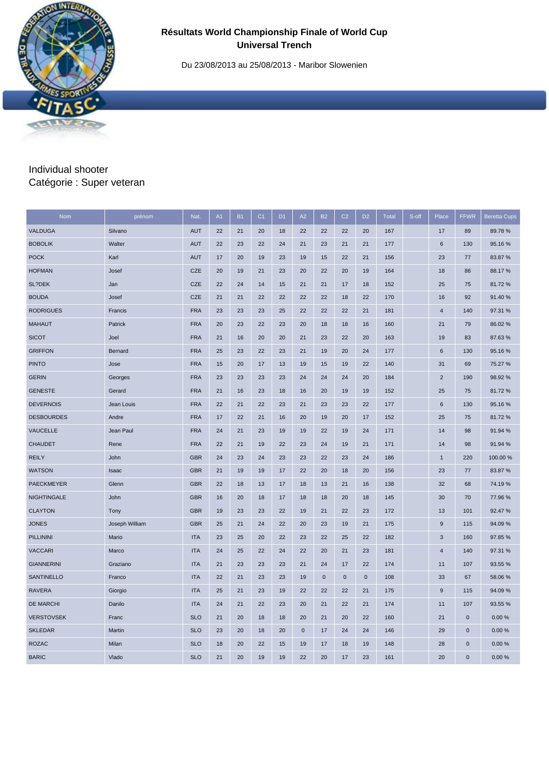Du 23/08/2013 au 25/08/2013 - Maribor Slowenien

## Individual shooter Catégorie : Super veteran

| Nom               | prénom         | Nat.       | A1 | <b>B1</b> | C <sub>1</sub> | D <sub>1</sub> | A2          | <b>B2</b>    | C <sub>2</sub> | D <sub>2</sub> | <b>Total</b> | S-off | Place          | <b>FFWR</b>  | <b>Beretta Cups</b> |
|-------------------|----------------|------------|----|-----------|----------------|----------------|-------------|--------------|----------------|----------------|--------------|-------|----------------|--------------|---------------------|
| VALDUGA           | Silvano        | <b>AUT</b> | 22 | 21        | 20             | 18             | 22          | 22           | 22             | 20             | 167          |       | 17             | 89           | 89.78%              |
| <b>BOBOLIK</b>    | Walter         | <b>AUT</b> | 22 | 23        | 22             | 24             | 21          | 23           | 21             | 21             | 177          |       | 6              | 130          | 95.16%              |
| <b>POCK</b>       | Karl           | <b>AUT</b> | 17 | 20        | 19             | 23             | 19          | 15           | 22             | 21             | 156          |       | 23             | 77           | 83.87 %             |
| <b>HOFMAN</b>     | Josef          | <b>CZE</b> | 20 | 19        | 21             | 23             | 20          | 22           | 20             | 19             | 164          |       | 18             | 86           | 88.17%              |
| SL?DEK            | Jan            | <b>CZE</b> | 22 | 24        | 14             | 15             | 21          | 21           | 17             | 18             | 152          |       | 25             | 75           | 81.72%              |
| <b>BOUDA</b>      | Josef          | <b>CZE</b> | 21 | 21        | 22             | 22             | 22          | 22           | 18             | 22             | 170          |       | 16             | 92           | 91.40%              |
| <b>RODRIGUES</b>  | Francis        | <b>FRA</b> | 23 | 23        | 23             | 25             | 22          | 22           | 22             | 21             | 181          |       | $\overline{4}$ | 140          | 97.31 %             |
| <b>MAHAUT</b>     | Patrick        | <b>FRA</b> | 20 | 23        | 22             | 23             | 20          | 18           | 18             | 16             | 160          |       | 21             | 79           | 86.02%              |
| <b>SICOT</b>      | Joel           | <b>FRA</b> | 21 | 16        | 20             | 20             | 21          | 23           | 22             | 20             | 163          |       | 19             | 83           | 87.63%              |
| <b>GRIFFON</b>    | Bernard        | <b>FRA</b> | 25 | 23        | 22             | 23             | 21          | 19           | 20             | 24             | 177          |       | $\,6\,$        | 130          | 95.16%              |
| <b>PINTO</b>      | Jose           | <b>FRA</b> | 15 | 20        | 17             | 13             | 19          | 15           | 19             | 22             | 140          |       | 31             | 69           | 75.27 %             |
| <b>GERIN</b>      | Georges        | <b>FRA</b> | 23 | 23        | 23             | 23             | 24          | 24           | 24             | 20             | 184          |       | $\overline{2}$ | 190          | 98.92%              |
| <b>GENESTE</b>    | Gerard         | <b>FRA</b> | 21 | 16        | 23             | 18             | 16          | 20           | 19             | 19             | 152          |       | 25             | 75           | 81.72%              |
| <b>DEVERNOIS</b>  | Jean Louis     | <b>FRA</b> | 22 | 21        | 22             | 23             | 21          | 23           | 23             | 22             | 177          |       | $\,6\,$        | 130          | 95.16%              |
| <b>DESBOURDES</b> | Andre          | <b>FRA</b> | 17 | 22        | 21             | 16             | 20          | 19           | 20             | 17             | 152          |       | 25             | 75           | 81.72%              |
| VAUCELLE          | Jean Paul      | <b>FRA</b> | 24 | 21        | 23             | 19             | 19          | 22           | 19             | 24             | 171          |       | 14             | 98           | 91.94 %             |
| <b>CHAUDET</b>    | Rene           | <b>FRA</b> | 22 | 21        | 19             | 22             | 23          | 24           | 19             | 21             | 171          |       | 14             | 98           | 91.94 %             |
| <b>REILY</b>      | John           | <b>GBR</b> | 24 | 23        | 24             | 23             | 23          | 22           | 23             | 24             | 186          |       | $\mathbf{1}$   | 220          | 100.00 %            |
| <b>WATSON</b>     | Isaac          | <b>GBR</b> | 21 | 19        | 19             | 17             | 22          | 20           | 18             | 20             | 156          |       | 23             | 77           | 83.87 %             |
| <b>PAECKMEYER</b> | Glenn          | <b>GBR</b> | 22 | 18        | 13             | 17             | 18          | 13           | 21             | 16             | 138          |       | 32             | 68           | 74.19%              |
| NIGHTINGALE       | John           | <b>GBR</b> | 16 | 20        | 18             | 17             | 18          | 18           | 20             | 18             | 145          |       | 30             | 70           | 77.96%              |
| <b>CLAYTON</b>    | Tony           | <b>GBR</b> | 19 | 23        | 23             | 22             | 19          | 21           | 22             | 23             | 172          |       | 13             | 101          | 92.47%              |
| <b>JONES</b>      | Joseph William | <b>GBR</b> | 25 | 21        | 24             | 22             | 20          | 23           | 19             | 21             | 175          |       | $9\,$          | 115          | 94.09%              |
| PILLININI         | Mario          | <b>ITA</b> | 23 | 25        | 20             | 22             | 23          | 22           | 25             | 22             | 182          |       | 3              | 160          | 97.85 %             |
| <b>VACCARI</b>    | Marco          | <b>ITA</b> | 24 | 25        | 22             | 24             | 22          | 20           | 21             | 23             | 181          |       | $\overline{4}$ | 140          | 97.31 %             |
| <b>GIANNERINI</b> | Graziano       | <b>ITA</b> | 21 | 23        | 23             | 23             | 21          | 24           | 17             | 22             | 174          |       | 11             | 107          | 93.55 %             |
| <b>SANTINELLO</b> | Franco         | <b>ITA</b> | 22 | 21        | 23             | 23             | 19          | $\mathbf{0}$ | $\mathbf 0$    | $\mathbf 0$    | 108          |       | 33             | 67           | 58.06%              |
| <b>RAVERA</b>     | Giorgio        | <b>ITA</b> | 25 | 21        | 23             | 19             | 22          | 22           | 22             | 21             | 175          |       | $9\,$          | 115          | 94.09%              |
| <b>DE MARCHI</b>  | Danilo         | <b>ITA</b> | 24 | 21        | 22             | 23             | 20          | 21           | 22             | 21             | 174          |       | 11             | 107          | 93.55 %             |
| <b>VERSTOVSEK</b> | Franc          | <b>SLO</b> | 21 | 20        | 18             | 18             | 20          | 21           | 20             | 22             | 160          |       | 21             | $\mathbf 0$  | 0.00%               |
| <b>SKLEDAR</b>    | Martin         | <b>SLO</b> | 23 | 20        | 18             | 20             | $\mathbf 0$ | 17           | 24             | 24             | 146          |       | 29             | $\pmb{0}$    | 0.00%               |
| <b>ROZAC</b>      | Milan          | <b>SLO</b> | 18 | 20        | 22             | 15             | 19          | 17           | 18             | 19             | 148          |       | 28             | $\mathbf{0}$ | 0.00%               |
| <b>BARIC</b>      | Vlado          | <b>SLO</b> | 21 | 20        | 19             | 19             | 22          | 20           | 17             | 23             | 161          |       | 20             | $\mathbf{0}$ | 0.00%               |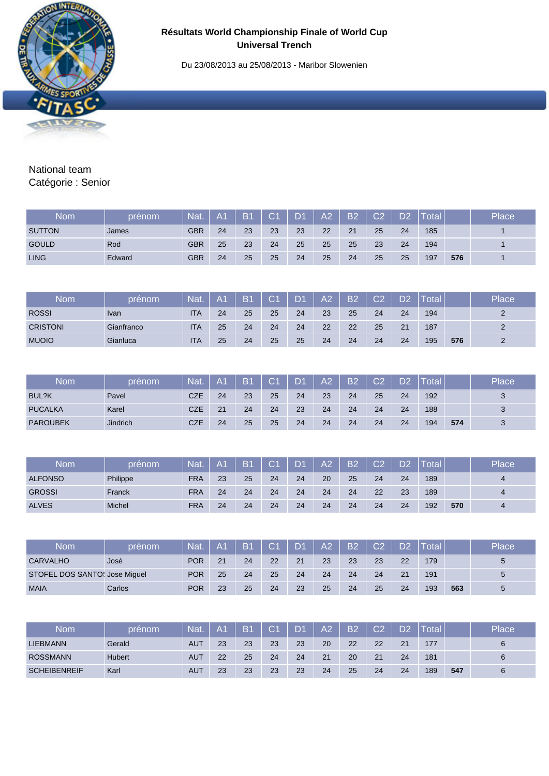Du 23/08/2013 au 25/08/2013 - Maribor Slowenien



## National team Catégorie : Senior

| <b>Nom</b>    | prénom | Nat.       | A1 | <b>B1</b> | C <sub>1</sub> | D <sub>1</sub> | A2 | <b>B2</b> | C2 | D <sub>2</sub> | Total |     | Place |
|---------------|--------|------------|----|-----------|----------------|----------------|----|-----------|----|----------------|-------|-----|-------|
| <b>SUTTON</b> | James  | <b>GBR</b> | 24 | 23        | 23             | 23             | 22 | 21        | 25 | 24             | 185   |     |       |
| <b>GOULD</b>  | Rod    | <b>GBR</b> | 25 | 23        | 24             | 25             | 25 | 25        | 23 | 24             | 194   |     |       |
| <b>LING</b>   | Edward | <b>GBR</b> | 24 | 25        | 25             | 24             | 25 | 24        | 25 | 25             | 197   | 576 |       |
|               |        |            |    |           |                |                |    |           |    |                |       |     |       |

| <b>Nom</b>      | prénom      | Nat        | A <sub>1</sub> | <b>B1</b> | C1 | $\mathbf{D}$ | A2 | <b>B2</b> | C.2 | מח | Total |     | Place |
|-----------------|-------------|------------|----------------|-----------|----|--------------|----|-----------|-----|----|-------|-----|-------|
| <b>ROSSI</b>    | <b>Ivan</b> | <b>ITA</b> | 24             | 25        | 25 | 24           | 23 | 25        | 24  | 24 | 194   |     |       |
| <b>CRISTONI</b> | Gianfranco  | <b>ITA</b> | 25             | 24        | 24 | 24           | 22 | 22        | 25  | 21 | 187   |     |       |
| <b>MUOIO</b>    | Gianluca    | <b>ITA</b> | 25             | 24        | 25 | 25           | 24 | 24        | 24  | 24 | 195   | 576 |       |

| Nom             | prénom          | Nat.       | A <sub>1</sub> | B <sub>1</sub> | $\mathbf{C}1$ | LD4 | A <sub>2</sub> | B2 | C <sub>2</sub> | פח | Total |     | Place    |
|-----------------|-----------------|------------|----------------|----------------|---------------|-----|----------------|----|----------------|----|-------|-----|----------|
| BUL?K           | Pavel           | <b>CZE</b> | 24             | 23             | 25            | 24  | 23             | 24 | 25             | 24 | 192   |     | $\Omega$ |
| <b>PUCALKA</b>  | Karel           | CZE        | 21             | 24             | 24            | 23  | 24             | 24 | 24             | 24 | 188   |     | $\Omega$ |
| <b>PAROUBEK</b> | <b>Jindrich</b> | <b>CZE</b> | 24             | 25             | 25            | 24  | 24             | 24 | 24             | 24 | 194   | 574 |          |

| Nom            | prénom   | Nat.       | A <sub>1</sub> | <b>B1</b> | C <sub>1</sub> | $\mathbf{D}$ | A2 | <b>B2</b> | C.2 | <b>D2</b> | Total |     | Place          |
|----------------|----------|------------|----------------|-----------|----------------|--------------|----|-----------|-----|-----------|-------|-----|----------------|
| <b>ALFONSO</b> | Philippe | <b>FRA</b> | 23             | 25        | 24             | 24           | 20 | 25        | 24  | 24        | 189   |     | $\overline{a}$ |
| <b>GROSSI</b>  | Franck   | <b>FRA</b> | 24             | 24        | 24             | 24           | 24 | 24        | 22  | 23        | 189   |     | $\overline{a}$ |
| <b>ALVES</b>   | Michel   | <b>FRA</b> | 24             | 24        | 24             | 24           | 24 | 24        | 24  | 24        | 192   | 570 |                |

| Nom                           | prénom | <b>Nat</b> | IA1 | B <sub>1</sub> | C <sub>1</sub> | $\mathbf{D}$ | A <sub>2</sub> | <b>B2</b> | $\cap$ | D2 | <b>Total</b> |     | Place |
|-------------------------------|--------|------------|-----|----------------|----------------|--------------|----------------|-----------|--------|----|--------------|-----|-------|
| <b>CARVALHO</b>               | José   | <b>POR</b> | 21  | 24             | 22             | 21           | 23             | 23        | 23     | 22 | 179          |     | 5     |
| STOFEL DOS SANTO: Jose Miquel |        | <b>POR</b> | 25  | 24             | 25             | 24           | 24             | 24        | 24     | 21 | 191          |     | 5     |
| <b>MAIA</b>                   | Carlos | <b>POR</b> | 23  | 25             | 24             | 23           | 25             | 24        | 25     | 24 | 193          | 563 |       |

| Nom                 | prénom        | <b>Nat</b> | A1 | B <sub>1</sub> | C1 | D 4 | A <sub>2</sub> | B <sub>2</sub> | $\bigcap$ | פח | Total |     | Place |
|---------------------|---------------|------------|----|----------------|----|-----|----------------|----------------|-----------|----|-------|-----|-------|
| <b>LIEBMANN</b>     | Gerald        | <b>AUT</b> | 23 | 23             | 23 | 23  | 20             | 22             | 22        | 21 | 177   |     |       |
| <b>ROSSMANN</b>     | <b>Hubert</b> | <b>AUT</b> | 22 | 25             | 24 | 24  | 21             | 20             | 21        | 24 | 181   |     |       |
| <b>SCHEIBENREIF</b> | Karl          | <b>AUT</b> | 23 | 23             | 23 | 23  | 24             | 25             | 24        | 24 | 189   | 547 |       |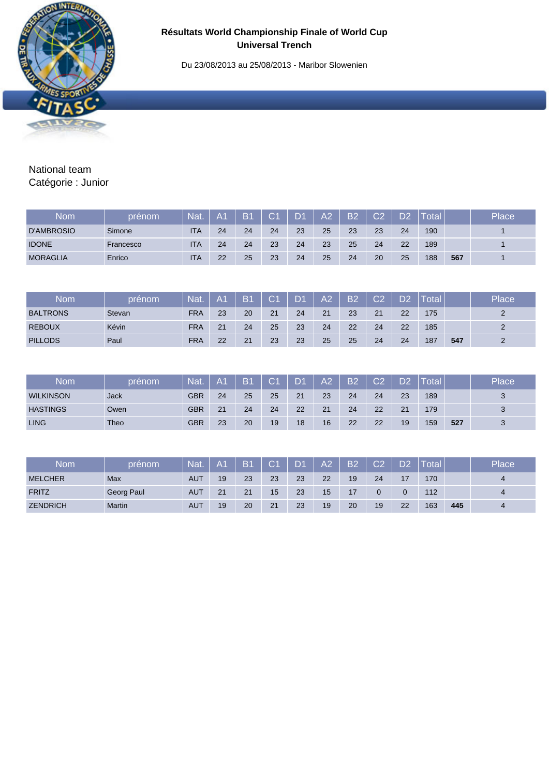Du 23/08/2013 au 25/08/2013 - Maribor Slowenien



## National team Catégorie : Junior

| Nom               | prénom    | <b>Nat</b> | IA1 | B <sub>1</sub> | C <sub>1</sub> | <b>D1</b> | A2 | <b>B2</b> | റാ | פח | Total |     | Place |
|-------------------|-----------|------------|-----|----------------|----------------|-----------|----|-----------|----|----|-------|-----|-------|
| <b>D'AMBROSIO</b> | Simone    | <b>ITA</b> | 24  | 24             | 24             | 23        | 25 | 23        | 23 | 24 | 190   |     |       |
| <b>IDONE</b>      | Francesco | <b>ITA</b> | 24  | 24             | 23             | 24        | 23 | 25        | 24 | 22 | 189   |     |       |
| <b>MORAGLIA</b>   | Enrico    | <b>ITA</b> | 22  | 25             | 23             | 24        | 25 | 24        | 20 | 25 | 188   | 567 |       |

| <b>Nom</b>      | prénom | <b>Nat</b> | A <sub>1</sub> | <b>B1</b> | C <sub>1</sub> | $\mathsf{D}$ | A2 | <b>B2</b> | $\bigcap$ | DO | Total |     | Place |
|-----------------|--------|------------|----------------|-----------|----------------|--------------|----|-----------|-----------|----|-------|-----|-------|
| <b>BALTRONS</b> | Stevan | <b>FRA</b> | 23             | 20        | 21             | 24           | 21 | 23        | 21        | 22 | 175   |     |       |
| <b>REBOUX</b>   | Kévin  | <b>FRA</b> | 21             | 24        | 25             | 23           | 24 | 22        | 24        | 22 | 185   |     |       |
| <b>PILLODS</b>  | Paul   | <b>FRA</b> | 22             | 21        | 23             | 23           | 25 | 25        | 24        | 24 | 187   | 547 |       |

| <b>Nom</b>       | prénom      | Nat | A <sub>1</sub> | <b>B1</b> | $\mathsf{C}4$ | $\mathbf{D}$ | A2 | <b>B2</b> | C.2 | D2 | Total |     | Place             |
|------------------|-------------|-----|----------------|-----------|---------------|--------------|----|-----------|-----|----|-------|-----|-------------------|
| <b>WILKINSON</b> | Jack        | GBR | 24             | 25        | 25            | 21           | 23 | 24        | 24  | 23 | 189   |     | $\mathbf{\Omega}$ |
| <b>HASTINGS</b>  | Owen        | GBR | 21             | 24        | 24            | 22           | 21 | 24        | 22  | 21 | 179   |     | $\Omega$          |
| <b>LING</b>      | <b>Theo</b> | GBR | 23             | 20        | 19            | 18           | 16 | 22        | 22  | 19 | 159   | 527 |                   |

| <b>Nom</b>      | prénom     | <b>Nat</b> | A <sub>1</sub> | B <sub>1</sub> | C <sub>1</sub> | $\mathbf{D}$ | A <sub>2</sub> | <b>B2</b> | $\cap$ | D <sub>2</sub> | <b>Total</b> |     | Place |
|-----------------|------------|------------|----------------|----------------|----------------|--------------|----------------|-----------|--------|----------------|--------------|-----|-------|
| <b>MELCHER</b>  | Max        | <b>AUT</b> | 19             | 23             | 23             | 23           | 22             | 19        | 24     |                | 170          |     | 4     |
| <b>FRITZ</b>    | Georg Paul | <b>AUT</b> | 21             | 21             | 15             | 23           | 15             | 17        |        |                | 112          |     | 4     |
| <b>ZENDRICH</b> | Martin     | <b>AUT</b> | 19             | 20             | 21             | 23           | 19             | 20        | 19     | 22             | 163          | 445 | 4     |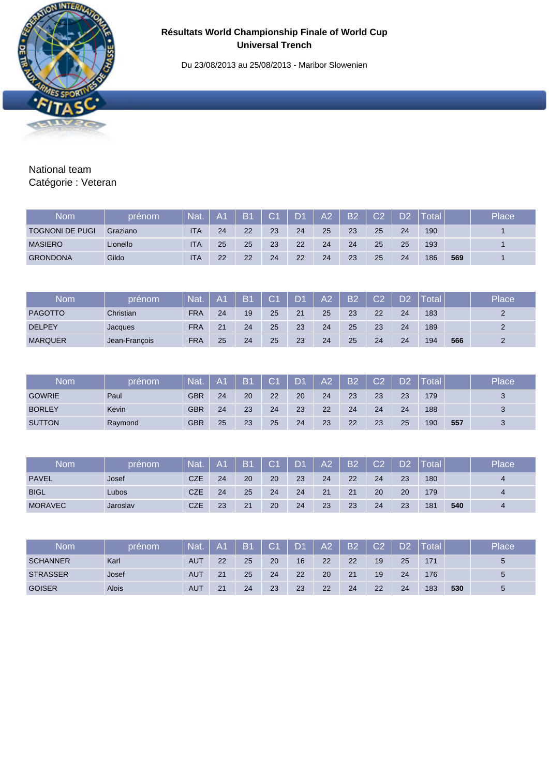Du 23/08/2013 au 25/08/2013 - Maribor Slowenien



## National team Catégorie : Veteran

| Nom                    | prénom   | <b>Nat</b> | A <sub>1</sub> | B <sub>1</sub> | $\overline{C}$ 1 | $\mathsf{D}$ | A2 | <b>B2</b> | C <sub>2</sub> | פח | Total |     | Place |
|------------------------|----------|------------|----------------|----------------|------------------|--------------|----|-----------|----------------|----|-------|-----|-------|
| <b>TOGNONI DE PUGI</b> | Graziano | <b>ITA</b> | 24             | 22             | 23               | 24           | 25 | 23        | 25             | 24 | 190   |     |       |
| <b>MASIERO</b>         | Lionello | <b>ITA</b> | 25             | 25             | 23               | 22           | 24 | 24        | 25             | 25 | 193   |     |       |
| <b>GRONDONA</b>        | Gildo    | <b>ITA</b> | 22             | 22             | 24               | 22           | 24 | 23        | 25             | 24 | 186   | 569 |       |

| <b>Nom</b>     | prénom <sup>i</sup> | Nat.       | A <sub>1</sub> | /B1 | C <sub>1</sub> | <b>D1</b> | A <sub>2</sub> | B <sub>2</sub> | C.2 | <b>D2</b> | Total |     | Place |
|----------------|---------------------|------------|----------------|-----|----------------|-----------|----------------|----------------|-----|-----------|-------|-----|-------|
| <b>PAGOTTO</b> | Christian           | <b>FRA</b> | 24             | 19  | 25             | 21        | 25             | 23             | 22  | 24        | 183   |     |       |
| <b>DELPEY</b>  | Jacques             | <b>FRA</b> | 21             | 24  | 25             | 23        | 24             | 25             | 23  | 24        | 189   |     |       |
| <b>MARQUER</b> | Jean-Francois       | <b>FRA</b> | 25             | 24  | 25             | 23        | 24             | 25             | 24  | 24        | 194   | 566 |       |

| Nom           | prénom  | <b>Nat.</b> | AA | /B1 | $\cap$ | D <sub>1</sub> | A2 | <b>B2</b> | C2 | D <sub>2</sub> | <b>Total</b> |     | Place             |
|---------------|---------|-------------|----|-----|--------|----------------|----|-----------|----|----------------|--------------|-----|-------------------|
| <b>GOWRIE</b> | Paul    | GBR         | 24 | 20  | 22     | 20             | 24 | 23        | 23 | 23             | 179          |     | $\mathbf{\Omega}$ |
| <b>BORLEY</b> | Kevin   | GBR         | 24 | 23  | 24     | 23             | 22 | 24        | 24 | 24             | 188          |     | $\mathbf{z}$      |
| <b>SUTTON</b> | Raymond | GBR         | 25 | 23  | 25     | 24             | 23 | 22        | 23 | 25             | 190          | 557 |                   |

| Nom            | prénom   | Nat.       | A <sub>1</sub> | B <sub>1</sub> | С1 | LD4 | A <sub>2</sub> | B2 | C <sub>2</sub> | פח | Total |     | Place          |
|----------------|----------|------------|----------------|----------------|----|-----|----------------|----|----------------|----|-------|-----|----------------|
| <b>PAVEL</b>   | Josef    | <b>CZE</b> | 24             | 20             | 20 | 23  | 24             | 22 | 24             | 23 | 180   |     | $\overline{a}$ |
| <b>BIGL</b>    | Lubos    | <b>CZE</b> | 24             | 25             | 24 | 24  | 21             | 21 | 20             | 20 | 179   |     | $\overline{a}$ |
| <b>MORAVEC</b> | Jaroslav | <b>CZE</b> | 23             | 21             | 20 | 24  | 23             | 23 | 24             | 23 | 181   | 540 |                |

| Nom             | prénom       | Nat        | A1 | B <sub>1</sub> | C <sub>1</sub> | D4 | A2 | <b>B2</b> | ∩∩ | מח | <b>Total</b> |     | Place |
|-----------------|--------------|------------|----|----------------|----------------|----|----|-----------|----|----|--------------|-----|-------|
| <b>SCHANNER</b> | Karl         | <b>AUT</b> | 22 | 25             | 20             | 16 | 22 | 22        | 19 | 25 | 171          |     | 5     |
| <b>STRASSER</b> | Josef        | <b>AUT</b> | 21 | 25             | 24             | 22 | 20 | 21        | 19 | 24 | 176          |     | 5     |
| <b>GOISER</b>   | <b>Alois</b> | <b>AUT</b> | 21 | 24             | 23             | 23 | 22 | 24        | 22 | 24 | 183          | 530 | 5     |